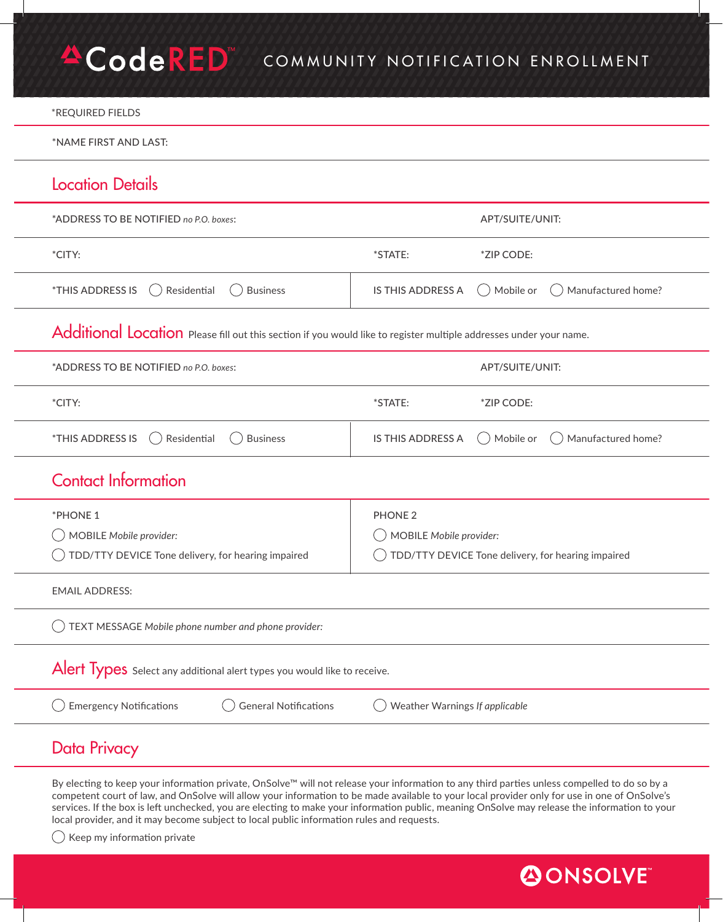## **ACodeRED** COMMUNITY NOTIFICATION ENROLLMENT

### \*REQUIRED FIELDS

\*NAME FIRST AND LAST:

# Location Details

| *ADDRESS TO BE NOTIFIED no P.O. boxes:                                                                             |                                | APT/SUITE/UNIT:                                    |
|--------------------------------------------------------------------------------------------------------------------|--------------------------------|----------------------------------------------------|
| *CITY:                                                                                                             | *STATE:                        | *ZIP CODE:                                         |
| *THIS ADDRESS IS<br>Residential<br><b>Business</b><br>$($ )                                                        | <b>IS THIS ADDRESS A</b>       | Mobile or<br>Manufactured home?                    |
| Additional Location Please fill out this section if you would like to register multiple addresses under your name. |                                |                                                    |
| *ADDRESS TO BE NOTIFIED no P.O. boxes:                                                                             |                                | APT/SUITE/UNIT:                                    |
| *CITY:                                                                                                             | *STATE:                        | *ZIP CODE:                                         |
| *THIS ADDRESS IS<br>Residential<br><b>Business</b>                                                                 | <b>IS THIS ADDRESS A</b>       | Mobile or<br>( ) Manufactured home?                |
| <b>Contact Information</b>                                                                                         |                                |                                                    |
| *PHONE 1                                                                                                           | <b>PHONE 2</b>                 |                                                    |
| <b>MOBILE Mobile provider:</b>                                                                                     | <b>MOBILE Mobile provider:</b> |                                                    |
| TDD/TTY DEVICE Tone delivery, for hearing impaired                                                                 |                                | TDD/TTY DEVICE Tone delivery, for hearing impaired |
| <b>EMAIL ADDRESS:</b>                                                                                              |                                |                                                    |
| TEXT MESSAGE Mobile phone number and phone provider:                                                               |                                |                                                    |
| Alert Types Select any additional alert types you would like to receive.                                           |                                |                                                    |
| <b>General Notifications</b><br><b>Emergency Notifications</b>                                                     | Weather Warnings If applicable |                                                    |
| <b>Data Privacy</b>                                                                                                |                                |                                                    |

By electing to keep your information private, OnSolve™ will not release your information to any third parties unless compelled to do so by a competent court of law, and OnSolve will allow your information to be made available to your local provider only for use in one of OnSolve's services. If the box is left unchecked, you are electing to make your information public, meaning OnSolve may release the information to your local provider, and it may become subject to local public information rules and requests.

 $\bigcirc$  Keep my information private